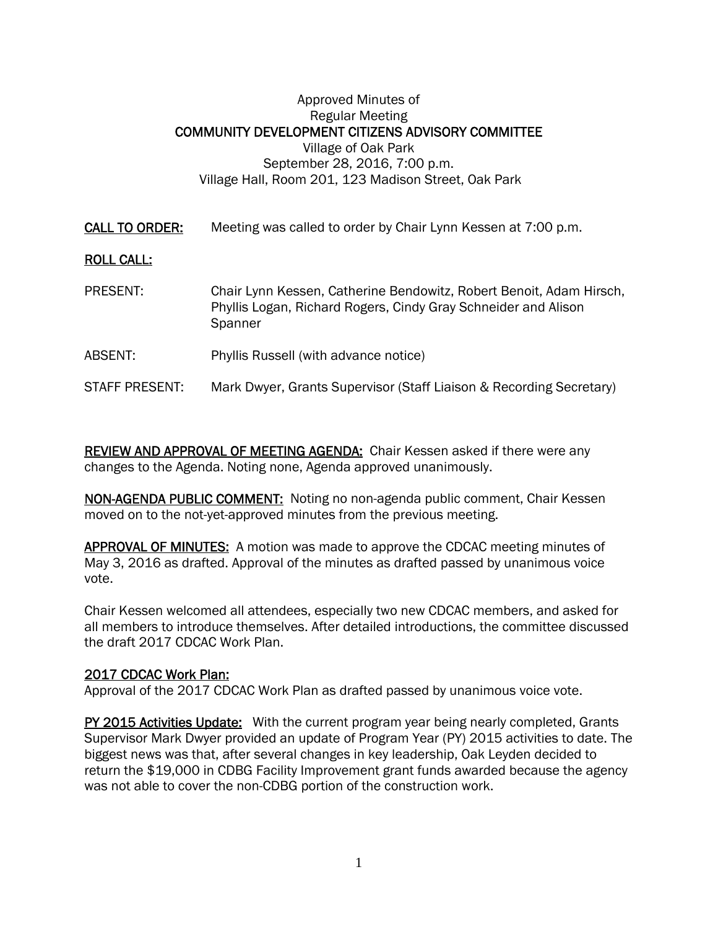## Approved Minutes of Regular Meeting COMMUNITY DEVELOPMENT CITIZENS ADVISORY COMMITTEE Village of Oak Park September 28, 2016, 7:00 p.m. Village Hall, Room 201, 123 Madison Street, Oak Park

CALL TO ORDER: Meeting was called to order by Chair Lynn Kessen at 7:00 p.m.

## ROLL CALL:

- PRESENT: Chair Lynn Kessen, Catherine Bendowitz, Robert Benoit, Adam Hirsch, Phyllis Logan, Richard Rogers, Cindy Gray Schneider and Alison **Spanner**
- ABSENT: Phyllis Russell (with advance notice)

## STAFF PRESENT: Mark Dwyer, Grants Supervisor (Staff Liaison & Recording Secretary)

REVIEW AND APPROVAL OF MEETING AGENDA: Chair Kessen asked if there were any changes to the Agenda. Noting none, Agenda approved unanimously.

NON-AGENDA PUBLIC COMMENT: Noting no non-agenda public comment, Chair Kessen moved on to the not-yet-approved minutes from the previous meeting.

APPROVAL OF MINUTES: A motion was made to approve the CDCAC meeting minutes of May 3, 2016 as drafted. Approval of the minutes as drafted passed by unanimous voice vote.

Chair Kessen welcomed all attendees, especially two new CDCAC members, and asked for all members to introduce themselves. After detailed introductions, the committee discussed the draft 2017 CDCAC Work Plan.

## 2017 CDCAC Work Plan:

Approval of the 2017 CDCAC Work Plan as drafted passed by unanimous voice vote.

PY 2015 Activities Update: With the current program year being nearly completed, Grants Supervisor Mark Dwyer provided an update of Program Year (PY) 2015 activities to date. The biggest news was that, after several changes in key leadership, Oak Leyden decided to return the \$19,000 in CDBG Facility Improvement grant funds awarded because the agency was not able to cover the non-CDBG portion of the construction work.